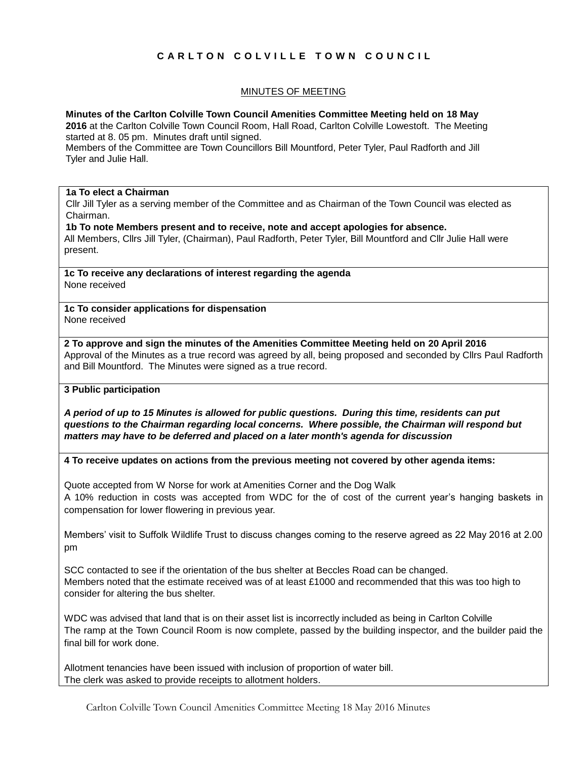# **C A R L T O N C O L V I L L E T O W N C O U N C I L**

# MINUTES OF MEETING

## **Minutes of the Carlton Colville Town Council Amenities Committee Meeting held on 18 May**

**2016** at the Carlton Colville Town Council Room, Hall Road, Carlton Colville Lowestoft. The Meeting started at 8. 05 pm. Minutes draft until signed.

Members of the Committee are Town Councillors Bill Mountford, Peter Tyler, Paul Radforth and Jill Tyler and Julie Hall.

# **1a To elect a Chairman**

Cllr Jill Tyler as a serving member of the Committee and as Chairman of the Town Council was elected as Chairman.

**1b To note Members present and to receive, note and accept apologies for absence.**

All Members, Cllrs Jill Tyler, (Chairman), Paul Radforth, Peter Tyler, Bill Mountford and Cllr Julie Hall were present.

**1c To receive any declarations of interest regarding the agenda** None received

**1c To consider applications for dispensation** None received

**2 To approve and sign the minutes of the Amenities Committee Meeting held on 20 April 2016** Approval of the Minutes as a true record was agreed by all, being proposed and seconded by Cllrs Paul Radforth and Bill Mountford. The Minutes were signed as a true record.

# **3 Public participation**

*A period of up to 15 Minutes is allowed for public questions. During this time, residents can put questions to the Chairman regarding local concerns. Where possible, the Chairman will respond but matters may have to be deferred and placed on a later month's agenda for discussion*

#### **4 To receive updates on actions from the previous meeting not covered by other agenda items:**

Quote accepted from W Norse for work at Amenities Corner and the Dog Walk

A 10% reduction in costs was accepted from WDC for the of cost of the current year's hanging baskets in compensation for lower flowering in previous year.

Members' visit to Suffolk Wildlife Trust to discuss changes coming to the reserve agreed as 22 May 2016 at 2.00 pm

SCC contacted to see if the orientation of the bus shelter at Beccles Road can be changed. Members noted that the estimate received was of at least £1000 and recommended that this was too high to consider for altering the bus shelter.

WDC was advised that land that is on their asset list is incorrectly included as being in Carlton Colville The ramp at the Town Council Room is now complete, passed by the building inspector, and the builder paid the final bill for work done.

Allotment tenancies have been issued with inclusion of proportion of water bill. The clerk was asked to provide receipts to allotment holders.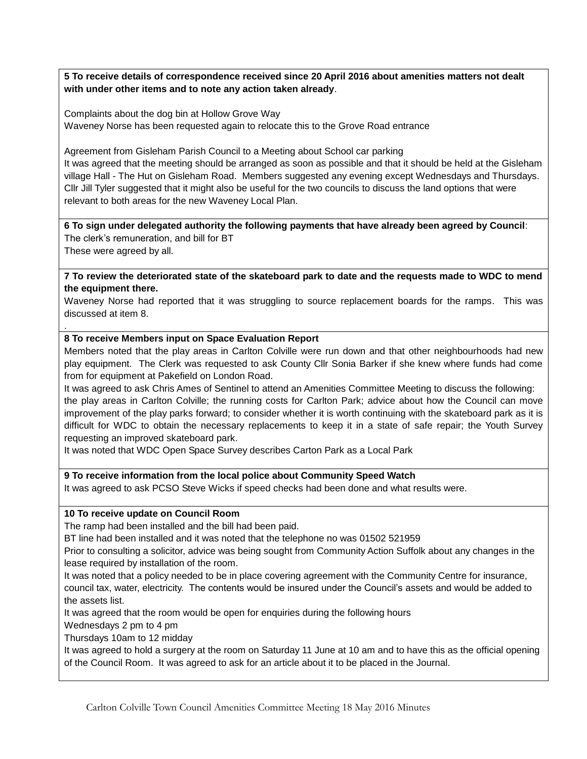**5 To receive details of correspondence received since 20 April 2016 about amenities matters not dealt with under other items and to note any action taken already**.

Complaints about the dog bin at Hollow Grove Way Waveney Norse has been requested again to relocate this to the Grove Road entrance

Agreement from Gisleham Parish Council to a Meeting about School car parking

It was agreed that the meeting should be arranged as soon as possible and that it should be held at the Gisleham village Hall - The Hut on Gisleham Road. Members suggested any evening except Wednesdays and Thursdays. Cllr Jill Tyler suggested that it might also be useful for the two councils to discuss the land options that were relevant to both areas for the new Waveney Local Plan.

**6 To sign under delegated authority the following payments that have already been agreed by Council**: The clerk's remuneration, and bill for BT

These were agreed by all.

.

**7 To review the deteriorated state of the skateboard park to date and the requests made to WDC to mend the equipment there.**

Waveney Norse had reported that it was struggling to source replacement boards for the ramps. This was discussed at item 8.

## **8 To receive Members input on Space Evaluation Report**

Members noted that the play areas in Carlton Colville were run down and that other neighbourhoods had new play equipment. The Clerk was requested to ask County Cllr Sonia Barker if she knew where funds had come from for equipment at Pakefield on London Road.

It was agreed to ask Chris Ames of Sentinel to attend an Amenities Committee Meeting to discuss the following: the play areas in Carlton Colville; the running costs for Carlton Park; advice about how the Council can move improvement of the play parks forward; to consider whether it is worth continuing with the skateboard park as it is difficult for WDC to obtain the necessary replacements to keep it in a state of safe repair; the Youth Survey requesting an improved skateboard park.

It was noted that WDC Open Space Survey describes Carton Park as a Local Park

#### **9 To receive information from the local police about Community Speed Watch**

It was agreed to ask PCSO Steve Wicks if speed checks had been done and what results were.

#### **10 To receive update on Council Room**

The ramp had been installed and the bill had been paid.

BT line had been installed and it was noted that the telephone no was 01502 521959

Prior to consulting a solicitor, advice was being sought from Community Action Suffolk about any changes in the lease required by installation of the room.

It was noted that a policy needed to be in place covering agreement with the Community Centre for insurance, council tax, water, electricity. The contents would be insured under the Council's assets and would be added to the assets list.

It was agreed that the room would be open for enquiries during the following hours

Wednesdays 2 pm to 4 pm

Thursdays 10am to 12 midday

It was agreed to hold a surgery at the room on Saturday 11 June at 10 am and to have this as the official opening of the Council Room. It was agreed to ask for an article about it to be placed in the Journal.